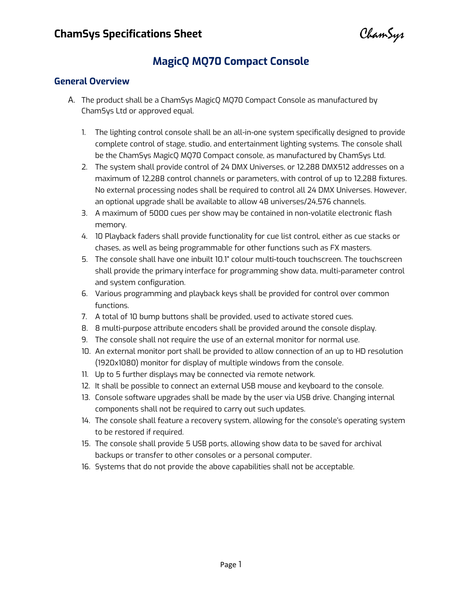ChamSyr

# **MagicQ MQ70 Compact Console**

#### **General Overview**

- A. The product shall be a ChamSys MagicQ MQ70 Compact Console as manufactured by ChamSys Ltd or approved equal.
	- 1. The lighting control console shall be an all-in-one system specifically designed to provide complete control of stage, studio, and entertainment lighting systems. The console shall be the ChamSys MagicQ MQ70 Compact console, as manufactured by ChamSys Ltd.
	- 2. The system shall provide control of 24 DMX Universes, or 12,288 DMX512 addresses on a maximum of 12,288 control channels or parameters, with control of up to 12,288 fixtures. No external processing nodes shall be required to control all 24 DMX Universes. However, an optional upgrade shall be available to allow 48 universes/24,576 channels.
	- 3. A maximum of 5000 cues per show may be contained in non-volatile electronic flash memory.
	- 4. 10 Playback faders shall provide functionality for cue list control, either as cue stacks or chases, as well as being programmable for other functions such as FX masters.
	- 5. The console shall have one inbuilt 10.1" colour multi-touch touchscreen. The touchscreen shall provide the primary interface for programming show data, multi-parameter control and system configuration.
	- 6. Various programming and playback keys shall be provided for control over common functions.
	- 7. A total of 10 bump buttons shall be provided, used to activate stored cues.
	- 8. 8 multi-purpose attribute encoders shall be provided around the console display.
	- 9. The console shall not require the use of an external monitor for normal use.
	- 10. An external monitor port shall be provided to allow connection of an up to HD resolution (1920x1080) monitor for display of multiple windows from the console.
	- 11. Up to 5 further displays may be connected via remote network.
	- 12. It shall be possible to connect an external USB mouse and keyboard to the console.
	- 13. Console software upgrades shall be made by the user via USB drive. Changing internal components shall not be required to carry out such updates.
	- 14. The console shall feature a recovery system, allowing for the console's operating system to be restored if required.
	- 15. The console shall provide 5 USB ports, allowing show data to be saved for archival backups or transfer to other consoles or a personal computer.
	- 16. Systems that do not provide the above capabilities shall not be acceptable.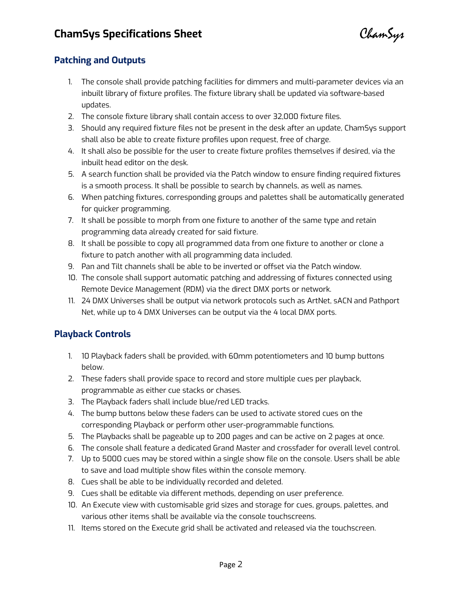ChamSys

## **Patching and Outputs**

- 1. The console shall provide patching facilities for dimmers and multi-parameter devices via an inbuilt library of fixture profiles. The fixture library shall be updated via software-based updates.
- 2. The console fixture library shall contain access to over 32,000 fixture files.
- 3. Should any required fixture files not be present in the desk after an update, ChamSys support shall also be able to create fixture profiles upon request, free of charge.
- 4. It shall also be possible for the user to create fixture profiles themselves if desired, via the inbuilt head editor on the desk.
- 5. A search function shall be provided via the Patch window to ensure finding required fixtures is a smooth process. It shall be possible to search by channels, as well as names.
- 6. When patching fixtures, corresponding groups and palettes shall be automatically generated for quicker programming.
- 7. It shall be possible to morph from one fixture to another of the same type and retain programming data already created for said fixture.
- 8. It shall be possible to copy all programmed data from one fixture to another or clone a fixture to patch another with all programming data included.
- 9. Pan and Tilt channels shall be able to be inverted or offset via the Patch window.
- 10. The console shall support automatic patching and addressing of fixtures connected using Remote Device Management (RDM) via the direct DMX ports or network.
- 11. 24 DMX Universes shall be output via network protocols such as ArtNet, sACN and Pathport Net, while up to 4 DMX Universes can be output via the 4 local DMX ports.

### **Playback Controls**

- 1. 10 Playback faders shall be provided, with 60mm potentiometers and 10 bump buttons below.
- 2. These faders shall provide space to record and store multiple cues per playback, programmable as either cue stacks or chases.
- 3. The Playback faders shall include blue/red LED tracks.
- 4. The bump buttons below these faders can be used to activate stored cues on the corresponding Playback or perform other user-programmable functions.
- 5. The Playbacks shall be pageable up to 200 pages and can be active on 2 pages at once.
- 6. The console shall feature a dedicated Grand Master and crossfader for overall level control.
- 7. Up to 5000 cues may be stored within a single show file on the console. Users shall be able to save and load multiple show files within the console memory.
- 8. Cues shall be able to be individually recorded and deleted.
- 9. Cues shall be editable via different methods, depending on user preference.
- 10. An Execute view with customisable grid sizes and storage for cues, groups, palettes, and various other items shall be available via the console touchscreens.
- 11. Items stored on the Execute grid shall be activated and released via the touchscreen.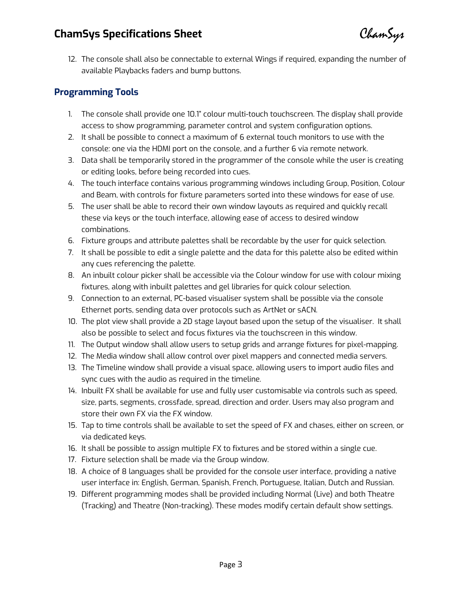# **ChamSys Specifications Sheet**

ChamSyr

12. The console shall also be connectable to external Wings if required, expanding the number of available Playbacks faders and bump buttons.

## **Programming Tools**

- 1. The console shall provide one 10.1" colour multi-touch touchscreen. The display shall provide access to show programming, parameter control and system configuration options.
- 2. It shall be possible to connect a maximum of 6 external touch monitors to use with the console: one via the HDMI port on the console, and a further 6 via remote network.
- 3. Data shall be temporarily stored in the programmer of the console while the user is creating or editing looks, before being recorded into cues.
- 4. The touch interface contains various programming windows including Group, Position, Colour and Beam, with controls for fixture parameters sorted into these windows for ease of use.
- 5. The user shall be able to record their own window layouts as required and quickly recall these via keys or the touch interface, allowing ease of access to desired window combinations.
- 6. Fixture groups and attribute palettes shall be recordable by the user for quick selection.
- 7. It shall be possible to edit a single palette and the data for this palette also be edited within any cues referencing the palette.
- 8. An inbuilt colour picker shall be accessible via the Colour window for use with colour mixing fixtures, along with inbuilt palettes and gel libraries for quick colour selection.
- 9. Connection to an external, PC-based visualiser system shall be possible via the console Ethernet ports, sending data over protocols such as ArtNet or sACN.
- 10. The plot view shall provide a 2D stage layout based upon the setup of the visualiser. It shall also be possible to select and focus fixtures via the touchscreen in this window.
- 11. The Output window shall allow users to setup grids and arrange fixtures for pixel-mapping.
- 12. The Media window shall allow control over pixel mappers and connected media servers.
- 13. The Timeline window shall provide a visual space, allowing users to import audio files and sync cues with the audio as required in the timeline.
- 14. Inbuilt FX shall be available for use and fully user customisable via controls such as speed, size, parts, segments, crossfade, spread, direction and order. Users may also program and store their own FX via the FX window.
- 15. Tap to time controls shall be available to set the speed of FX and chases, either on screen, or via dedicated keys.
- 16. It shall be possible to assign multiple FX to fixtures and be stored within a single cue.
- 17. Fixture selection shall be made via the Group window.
- 18. A choice of 8 languages shall be provided for the console user interface, providing a native user interface in: English, German, Spanish, French, Portuguese, Italian, Dutch and Russian.
- 19. Different programming modes shall be provided including Normal (Live) and both Theatre (Tracking) and Theatre (Non-tracking). These modes modify certain default show settings.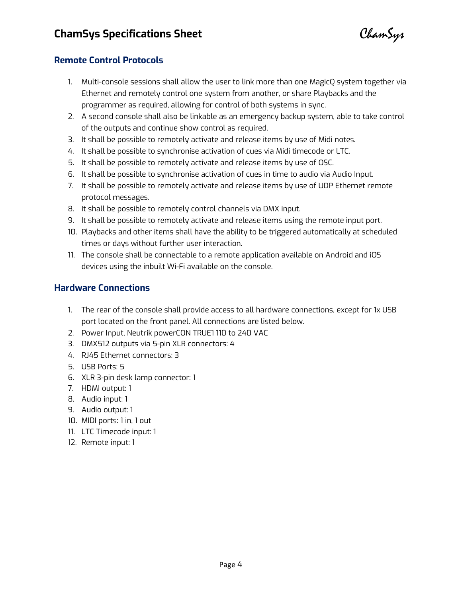ChamSys

### **Remote Control Protocols**

- 1. Multi-console sessions shall allow the user to link more than one MagicQ system together via Ethernet and remotely control one system from another, or share Playbacks and the programmer as required, allowing for control of both systems in sync.
- 2. A second console shall also be linkable as an emergency backup system, able to take control of the outputs and continue show control as required.
- 3. It shall be possible to remotely activate and release items by use of Midi notes.
- 4. It shall be possible to synchronise activation of cues via Midi timecode or LTC.
- 5. It shall be possible to remotely activate and release items by use of OSC.
- 6. It shall be possible to synchronise activation of cues in time to audio via Audio Input.
- 7. It shall be possible to remotely activate and release items by use of UDP Ethernet remote protocol messages.
- 8. It shall be possible to remotely control channels via DMX input.
- 9. It shall be possible to remotely activate and release items using the remote input port.
- 10. Playbacks and other items shall have the ability to be triggered automatically at scheduled times or days without further user interaction.
- 11. The console shall be connectable to a remote application available on Android and iOS devices using the inbuilt Wi-Fi available on the console.

### **Hardware Connections**

- 1. The rear of the console shall provide access to all hardware connections, except for 1x USB port located on the front panel. All connections are listed below.
- 2. Power Input, Neutrik powerCON TRUE1 110 to 240 VAC
- 3. DMX512 outputs via 5-pin XLR connectors: 4
- 4. RJ45 Ethernet connectors: 3
- 5. USB Ports: 5
- 6. XLR 3-pin desk lamp connector: 1
- 7. HDMI output: 1
- 8. Audio input: 1
- 9. Audio output: 1
- 10. MIDI ports: 1 in, 1 out
- 11. LTC Timecode input: 1
- 12. Remote input: 1